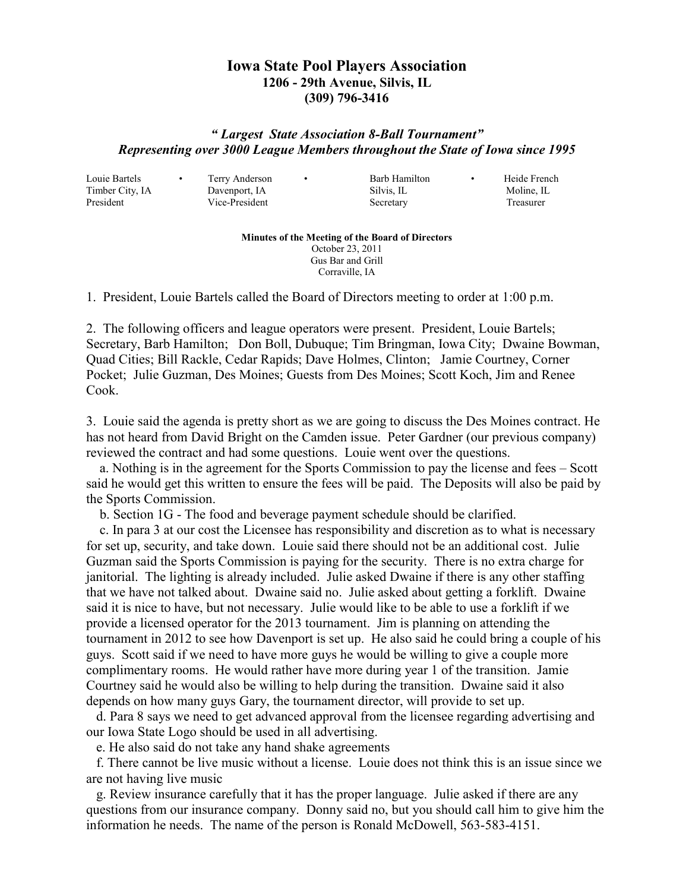## **Iowa State Pool Players Association 1206 - 29th Avenue, Silvis, IL (309) 796-3416**

## *" Largest State Association 8-Ball Tournament" Representing over 3000 League Members throughout the State of Iowa since 1995*

Louie Bartels • Terry Anderson • Barb Hamilton • Heide French

Timber City, IA Davenport, IA Silvis, IL Moline, IL President Vice-President Secretary Treasurer

**Minutes of the Meeting of the Board of Directors**  October 23, 2011 Gus Bar and Grill

Corraville, IA

1. President, Louie Bartels called the Board of Directors meeting to order at 1:00 p.m.

2. The following officers and league operators were present. President, Louie Bartels; Secretary, Barb Hamilton; Don Boll, Dubuque; Tim Bringman, Iowa City; Dwaine Bowman, Quad Cities; Bill Rackle, Cedar Rapids; Dave Holmes, Clinton; Jamie Courtney, Corner Pocket; Julie Guzman, Des Moines; Guests from Des Moines; Scott Koch, Jim and Renee Cook.

3. Louie said the agenda is pretty short as we are going to discuss the Des Moines contract. He has not heard from David Bright on the Camden issue. Peter Gardner (our previous company) reviewed the contract and had some questions. Louie went over the questions.

 a. Nothing is in the agreement for the Sports Commission to pay the license and fees – Scott said he would get this written to ensure the fees will be paid. The Deposits will also be paid by the Sports Commission.

b. Section 1G - The food and beverage payment schedule should be clarified.

 c. In para 3 at our cost the Licensee has responsibility and discretion as to what is necessary for set up, security, and take down. Louie said there should not be an additional cost. Julie Guzman said the Sports Commission is paying for the security. There is no extra charge for janitorial. The lighting is already included. Julie asked Dwaine if there is any other staffing that we have not talked about. Dwaine said no. Julie asked about getting a forklift. Dwaine said it is nice to have, but not necessary. Julie would like to be able to use a forklift if we provide a licensed operator for the 2013 tournament. Jim is planning on attending the tournament in 2012 to see how Davenport is set up. He also said he could bring a couple of his guys. Scott said if we need to have more guys he would be willing to give a couple more complimentary rooms. He would rather have more during year 1 of the transition. Jamie Courtney said he would also be willing to help during the transition. Dwaine said it also depends on how many guys Gary, the tournament director, will provide to set up.

 d. Para 8 says we need to get advanced approval from the licensee regarding advertising and our Iowa State Logo should be used in all advertising.

e. He also said do not take any hand shake agreements

 f. There cannot be live music without a license. Louie does not think this is an issue since we are not having live music

 g. Review insurance carefully that it has the proper language. Julie asked if there are any questions from our insurance company. Donny said no, but you should call him to give him the information he needs. The name of the person is Ronald McDowell, 563-583-4151.